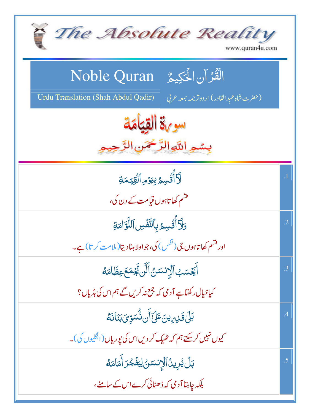| The Absolute Reality<br>www.quran4u.com                                                   |            |
|-------------------------------------------------------------------------------------------|------------|
| الْقُرْآنِ الْحَكِيمُ ِ Noble Quran                                                       |            |
| Urdu Translation (Shah Abdul Qadir)<br>(حضرت شاه عبد القادر) اردوتر <i>جمه بمعه ع</i> ربي |            |
| سوية القيامة                                                                              |            |
| بِسْمِ اللَّهِ الرَّحْمَنِ الرَّ                                                          |            |
| .<br>لَأَأۡقُسِمُ بِيَرۡمِ ٱلۡقِيَّـمَةِ                                                  | $\cdot$ 1  |
| قشم کھاتاہوں قیامت کے دن کی،                                                              |            |
| وَلَآأُ تُسِمُ بِٱلنَّفَّسِ ٱللَّوَّامَةِ                                                 | $\cdot$ .2 |
| اور فشم کھا تاہوں جی ( نفس ) کی، جو اولاہنادیتا( ملامت کر تا) ہے۔                         |            |
| ٲۧڲؘ <i>ٮ</i> ٙٮٙٮٜ۠ٱڷٳ۪ٮٝٮ <i>ؘٮڐڽ</i> ۠ٲڵؖڽ <i>ڣؖٞ</i> ۪ۼڡؘۼ؏ڟؘٲڡؘڡؖ۠                   | .3         |
| کیاخیال رکھتاہے آدمی کہ جمع نہ کریں گے ہم اس کی ہڈیاں؟                                    |            |
| <u>ڹڸٙ؋ٙٮڕۥؠڹ</u> ؘٵؘۣٙڶٲؖڹڐ۠ۘۺڐؚۣؽؘڹڹؘٲٮ <i>ؘۮ</i>                                       | .4         |
| کیوں نہیں کرسکتے ہم کہ ٹھیک کر دیں اس کی پوریاں (انگلیوں کی)۔                             |            |
| بَلۡ يُرِينُٱلۡ(نِسَ <i>دٰنُ لِ</i> يَفۡجُرَ أَمَامَهُ                                    | .5         |
| بلکہ چاہتا آدمی کہ ڈھٹائی کرے اس کے سامنے،                                                |            |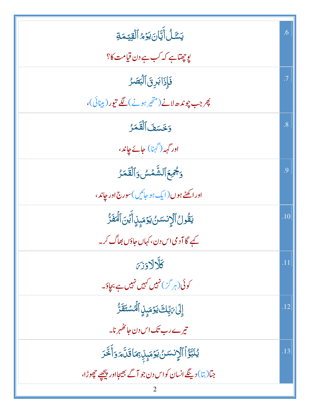| <b>يَسَّلُأَيَّانَ يَوْمُ ٱلْقِيَّمَةِ</b>                         | .6        |
|--------------------------------------------------------------------|-----------|
| يوچھٽاہے کہ کب ہے دن قیامت کا؟                                     |           |
| فَإِذَابَرِقَٱلْبَصَرُ                                             | $\cdot$ 7 |
| پھر جب چوندھ لانے (متحر ہونے) لگے تیور (بینائی)،                   |           |
| وَخَسَفَ ٱلْقَمَرُ                                                 | .8        |
| اور گہہ (گہنا) جائے جاند،                                          |           |
| ومجمع الشَّمْسُ وَالْقَمَرُ                                        | .9        |
| اور اڪڻے ہوں(ايک ہو جائيں)سورج1 <mark>ور چاند</mark> ،             |           |
| يَقُولُ ٱلۡإِنسَىٰ يَوۡمَبِنِاۤ أَيۡنَ ٱلۡمَٰٓفَرَّ                | .10       |
| کیے گا آدمی اس دن، کہاں جاؤں بھاگ کر۔                              |           |
| كلالادزي                                                           | .11       |
| کوئی(ہر گ <sup>ی</sup> ) نہیں کہیں نہیں ہے بچاؤ۔                   |           |
| إِلَىٰ مَبِّلِكَ يَوۡمَىٰۭنِ ٱلۡمُسۡتَقَرُّ                        | .12       |
| تیرے رب تک اس دن جائظہر نا۔                                        |           |
| ؽؙڹۜڗؚ۠ٱٱڷٳ <i>ٟۮ</i> ٮ <i>ؘڛٙؽٛ</i> ؾۯٙڡؘۑؚٟڹؚۥؚٙڡؘٵۊؘڷؖۜۄؘۏٲۧڂؖڒ | .13       |
| جمات ارینگے انسان کواس دن جو آگے بھیجااور پیچھے چھوڑا،             |           |
|                                                                    |           |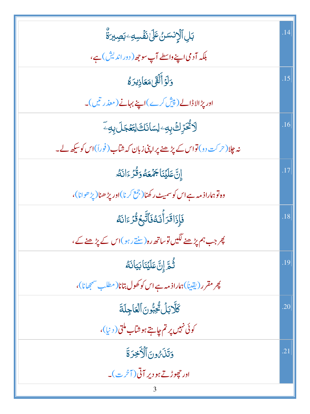| ڹڸٱڷٳٮٚۺڽۢڠٙڶ <i>ۣ</i> ڶٮٞ <i>ۏٞ</i> ٞڛ <i>ڣ</i> ڹڝؚۜۜڹڗۨٞ۠         | .14 |
|---------------------------------------------------------------------|-----|
| بلکہ آدمی اپنے واسطے آپ سو جھ( دور اندیش) ہے،                       |     |
| وَلَوۡ أَلَقَىٰ مَعَاذِيرَ لَهُ                                     | .15 |
| اور پڑ الاڈالے (پیش کرے)اپنے بہانے (معذر تیں)۔                      |     |
| ڷٲػٛػڔؚۨڬٛڔٜڢٷڸڛؘٳٮؘ۬ڶڂٞٳؾؘۼٙڿڶڔؠۊؚۦۜ                               | .16 |
| نہ چلا(حرکت دو)تواس کے پڑھنے پراپٹی زبان کہ شاب(فوراً)اس کو سکھ لے۔ |     |
| إِنَّ عَلَيْنَا جَمْعَهُ دَقُّرْءَانَهُ                             | .17 |
| وه توہماراذ مہ ہے اس کو سمیٹ رکھنا(جمع کرنا)اور پڑ ھنا(پڑ ھوانا)،   |     |
| فَإِذَا قَرَأَنَكُ فَأَتَّبِعُ قُزْءَانَهُ                          | .18 |
| چرجب ہم پڑھنے لگیں توساتھ رہ (سنتے رہو)اس کے پڑھنے کے،              |     |
| ڎؙٞ <sub>ڟۜ؞</sub> ٳؚڹ <mark>ٞ</mark> عَلَيۡنَابَيَانَ <i>ٓگ</i>    | .19 |
| پھر مقرر (يقيناً) ہماراذ مہ ہے اس کو کھول بتانا( مطلب شمجھانا)،     |     |
| كَلَّابَلِنُّجِبُّونَ ٱلْعَاجِلَةَ                                  | .20 |
| کوئی نہیں پر تم چاہتے ہوشاب ملق( دینا)،                             |     |
| وَتَلَىَّ وَنَ الْأَخِرَةَ                                          | .21 |
| اور حچوڑتے ہو دیر آتی (آخرت)۔                                       |     |
|                                                                     |     |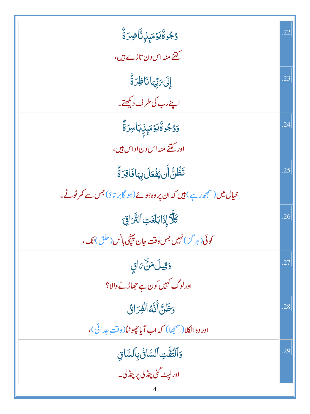| ۅ۠ <sup>ڮ</sup> ۠ۅؗڰ۠ؽٷڡؘؠ۪ڸؚ۫ڐۜۜ۠ٲۻؚۯۊٚ۠                                                     | .22 |
|-----------------------------------------------------------------------------------------------|-----|
| کتنے منہ اس دن تازے <i>ہیں</i> ،                                                              |     |
| إِلَىٰ بَيِّهَا نَاظِرَةٌ                                                                     | .23 |
| اپنے رب کی طرف دیکھتے۔                                                                        |     |
| ۯۯ۠ <sup>ڮ</sup> ٛۅؗۨ۠ۮ۠ۜؽۯٙڡؘؠؚۣڶؚڹٵڛۯۜۊٚٛ                                                   | .24 |
| اور <u>کتنے</u> منہ اس دن اداس ہیں،                                                           |     |
| تَظُنُّ أَن يُفۡعَلَ بِہَا فَاقِرَةٌ                                                          | .25 |
| خی <b>ال میں</b> (سمجھ رہے) <b>ہیں کہ ان پر وہ ہوئے ( ہو گابر تا</b> ؤ) جس سے <b>کمرٹوٹے۔</b> |     |
| كَلَّاْ إِذَابَلَغَتِ ٱلثَّرَاقِيَ                                                            | .26 |
| کوئی(ہر گ <sup>ی</sup> ) نہیں جس وقت جان پہنچی ہانس (حلق) تک،                                 |     |
| <u>وَقِيلَ</u> مَنَّ بَاقٍ                                                                    | .27 |
| اورلوگ کہیں کون ہے جھاڑنے والا؟                                                               |     |
| وَظَنَّ أَنَّهُ ٱلْفِرَانُّ                                                                   | .28 |
| اور وه اڻڪلا (شمجھا) کہ اب آيا جھوڻا( وقت جدائي)،                                             |     |
| <u>وَ</u> ٱلْتَفَّتِ ٱلسَّائُ بِٱلسَّائِ                                                      | .29 |
| اورلې <sub>ن</sub> گئ پن <i>ڈ</i> لی پر پنڈل۔                                                 |     |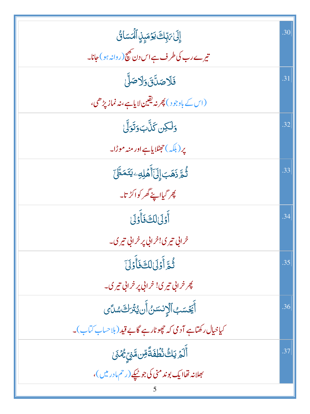| إِلَىٰ بَ بِّكَ يَوۡمَىٰۭنِ ٱلۡمَسَائُ                              | .30 |
|---------------------------------------------------------------------|-----|
| تیرے رب کی طرف ہے اس دن بھی(روانہ ہو) جانا۔                         |     |
| فَلَاصَلَّقَ وَلَاصَلَّىٰ                                           | .31 |
| (اس کے باوجو د) پھر نہ یقین لایاہے،نہ نماز پڑھی،                    |     |
| وَلَكِن كَنَّابَ وَتَوَلَّىٰ                                        | .32 |
| پر (بلکہ )حجٹلایاہے اور منہ موڑا۔                                   |     |
| ڐؙٛ <sub>ڞؖ</sub> ڒؘۿؘڹٳؚڸؘٲؘۧۿٙڸڢ <sup>ۣ</sup> ؾؘڎڟ <i>ۜ</i> ٙ     | .33 |
| چر گیااپنے گھر کواکڑ تا۔                                            |     |
| أَوْلَىٰلِكَ فَأَوْلَىٰ                                             | .34 |
| خرابي تيري!خرابي پر خرابي تيري۔                                     |     |
| ثُمَّ أَوَلَىٰلِكَ فَأَوْلَىٰ                                       | .35 |
| پھر خراني تيري! خراني پر خراني تيري۔                                |     |
| ؚ<br>ٲۜڲؘۺڮٱڷٳ <sup>ۮۺ</sup> ڽ۠ٲؘڹ؋ؿڗڂ؊ۺ                            | .36 |
| کیاخیال رکھتاہے آدمی کہ چھوٹارہے گابے قید (بلاحساب کتاب)۔           |     |
| ٲۜڶۮ <sub>ٙ</sub> ؾڬ۠ۮ۠ڟؙڡؘٛڐۘٞڡؚۜڽۿۏؚ <sub>ۣڴ</sub> ۿؽؘ            | .37 |
| بھلانہ تھاایک بوند منی کی جو <u>میکے</u> (رحم مادری <sub>س</sub> )، |     |
|                                                                     |     |